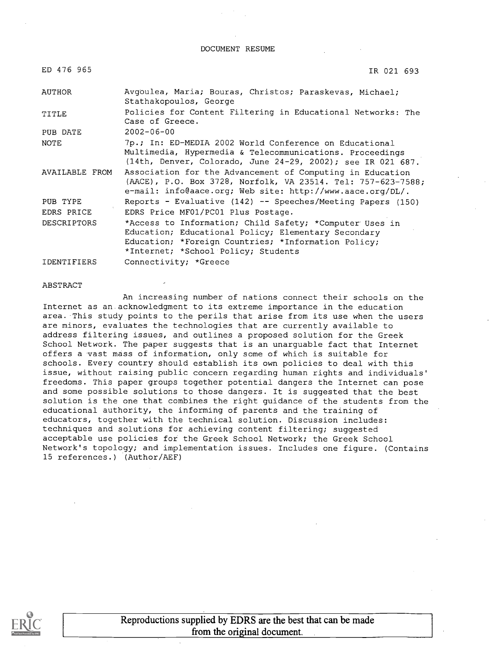DOCUMENT RESUME

| ED 476 965         | IR 021 693                                                                                                                                                                                                   |
|--------------------|--------------------------------------------------------------------------------------------------------------------------------------------------------------------------------------------------------------|
| AUTHOR             | Avgoulea, Maria; Bouras, Christos; Paraskevas, Michael;<br>Stathakopoulos, George                                                                                                                            |
| TITLE              | Policies for Content Filtering in Educational Networks: The<br>Case of Greece.                                                                                                                               |
| PUB DATE           | $2002 - 06 - 00$                                                                                                                                                                                             |
| <b>NOTE</b>        | 7p.; In: ED-MEDIA 2002 World Conference on Educational<br>Multimedia, Hypermedia & Telecommunications. Proceedings<br>(14th, Denver, Colorado, June 24-29, 2002); see IR 021 687.                            |
| AVAILABLE FROM     | Association for the Advancement of Computing in Education<br>(AACE), P.O. Box 3728, Norfolk, VA 23514. Tel: 757-623-7588;<br>e-mail: info@aace.org; Web site: http://www.aace.org/DL/.                       |
| PUB TYPE           | Reports - Evaluative (142) -- Speeches/Meeting Papers (150)                                                                                                                                                  |
| EDRS PRICE         | EDRS Price MF01/PC01 Plus Postage.                                                                                                                                                                           |
| <b>DESCRIPTORS</b> | *Access to Information; Child Safety; *Computer Uses in<br>Education; Educational Policy; Elementary Secondary<br>Education; *Foreign Countries; *Information Policy;<br>*Internet; *School Policy; Students |
| IDENTIFIERS        | Connectivity; *Greece                                                                                                                                                                                        |

#### ABSTRACT

An increasing number of nations connect their schools on the Internet as an acknowledgment to its extreme importance in the education area. This study points to the perils that arise from its use when the users are minors, evaluates the technologies that are currently available to address filtering issues, and outlines a proposed solution for the Greek School Network. The paper suggests that is an unarguable fact that Internet offers avast mass of information, only some of which is suitable for schools. Every country should establish its own policies to deal with this issue, without raising public concern regarding human rights and individuals' freedoms. This paper groups together potential dangers the Internet can pose and some possible solutions to those dangers. It is suggested that the best solution is the one that combines the right guidance of the students from the educational authority, the informing of parents and the training of educators, together with the technical solution. Discussion includes: techniques and solutions for achieving content filtering; suggested acceptable use policies for the Greek School Network; the Greek School Network's topology; and implementation issues. Includes one figure. (Contains 15 references.) (Author/AEF)

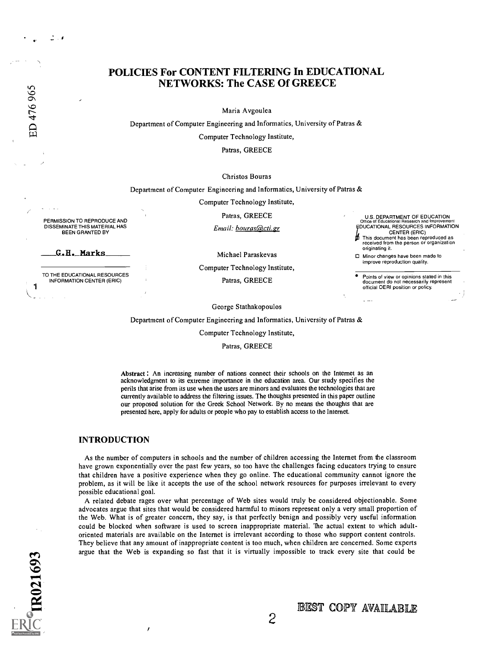1

# POLICIES For CONTENT FILTERING In EDUCATIONAL NETWORKS: The CASE Of GREECE

Maria Avgoulea

Department of Computer Engineering and Informatics, University of Patras &

Computer Technology Institute,

Patras, GREECE

Christos Bouras

Department of Computer Engineering and Informatics, University of Patras &

Computer Technology Institute,

Patras, GREECE U.S. DEPARTMENT OF EDUCATION Office of Educational Research and Improvement Email: <u>bouras@cti.gr</u> FDUCATIONAL RESOURCES INFORMATION CENTER (ERIC) This document has been reproduced as received from the person or organization

> Minor changes have been made to improve reproduction quality.

official OERI position or policy.

originating it.

Michael Paraskevas

Computer Technology Institute, Points of view or opinions stated in this<br>Patras, GREECE example of the document do not necessarily represent

George Stathakopoulos

Department of Computer Engineering and Informatics, University of Patras &

Computer Technology Institute,

Patras, GREECE

Abstract : An increasing number of nations connect their schools on the Internet as an acknowledgment to its extreme importance in the education area. Our study specifies the perils that arise from its use when the users are minors and evaluates the technologies that are currently available to address the filtering issues. The thoughts presented in this paper outline our proposed solution for the Greek School Network. By no means the thoughts that are presented here, apply for adults or people who pay to establish access to the Internet.

### INTRODUCTION

PERMISSION TO REPRODUCE AND DISSEMINATE THIS MATERIAL HAS BEEN GRANTED BY

G.H. Marks

TO THE EDUCATIONAL RESOURCES INFORMATION CENTER (ERIC)

> As the number of computers in schools and the number of children accessing the Internet from the classroom have grown exponentially over the past few years, so too have the challenges facing educators trying to ensure that children have a positive experience when they go online. The educational community cannot ignore the problem, as it will be like it accepts the use of the school network resources for purposes irrelevant to every possible educational goal.

> A related debate rages over what percentage of Web sites would truly be considered objectionable. Some advocates argue that sites that would be considered harmful to minors represent only a very small proportion of the Web. What is of greater concern, they say, is that perfectly benign and possibly very useful information could be blocked when software is used to screen inappropriate material. The actual extent to which adultoriented materials are available on the Internet is irrelevant according to those who support content controls. They believe that any amount of inappropriate content is too much, when children are concerned. Some experts argue that the Web is expanding so fast that it is virtually impossible to track every site that could be

BEST COPY AVAILABLE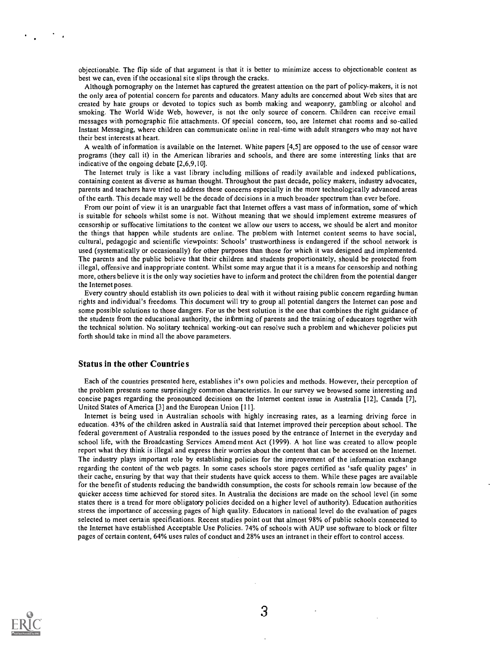objectionable. The flip side of that argument is that it is better to minimize access to objectionable content as best we can, even if the occasional site slips through the cracks.

Although pornography on the Internet has captured the greatest attention on the part of policy-makers, it is not the only area of potential concern for parents and educators. Many adults are concerned about Web sites that are created by hate groups or devoted to topics such as bomb making and weaponry, gambling or alcohol and smoking. The World Wide Web, however, is not the only source of concern. Children can receive email messages with pornographic file attachments. Of special concern, too, are Internet chat rooms and so-called Instant Messaging, where children can communicate online in real-time with adult strangers who may not have their best interests at heart.

A wealth of information is available on the Internet. White papers [4,5] are opposed to the use of censor ware programs (they call it) in the American libraries and schools, and there are some interesting links that are indicative of the ongoing debate [2,6,9,10].

The Internet truly is like a vast library including millions of readily available and indexed publications, containing content as diverse as human thought. Throughout the past decade, policy makers, industry advocates, parents and teachers have tried to address these concerns especially in the more technologically advanced areas of the earth. This decade may well be the decade of decisions in a much broader spectrum than ever before.

From our point of view it is an unarguable fact that Internet offers a vast mass of information, some of which is suitable for schools whilst some is not. Without meaning that we should implement extreme measures of censorship or suffocative limitations to the content we allow our users to access, we should be alert and monitor the things that happen while students are online. The problem with Internet content seems to have social, cultural, pedagogic and scientific viewpoints: Schools' trustworthiness is endangered if the school network is used (systematically or occasionally) for other purposes than those for which it was designed and implemented. The parents and the public believe that their children and students proportionately, should be protected from illegal, offensive and inappropriate content. Whilst some may argue that it is a means for censorship and nothing more, others believe it is the only way societies have to inform and protect the children from the potential danger the Internet poses.

Every country should establish its own policies to deal with it without raising public concern regarding human rights and individual's freedoms. This document will try to group all potential dangers the Internet can pose and some possible solutions to those dangers. For us the best solution is the one that combines the right guidance of the students from the educational authority, the informing of parents and the training of educators together with the technical solution. No solitary technical working-out can resolve such a problem and whichever policies put forth should take in mind all the above parameters.

#### Status in the other Countrie s

Each of the countries presented here, establishes it's own policies and methods. However, their perception of the problem presents some surprisingly common characteristics. In our survey we browsed some interesting and concise pages regarding the pronounced decisions on the Internet content issue in Australia [12], Canada [7], United States of America [3] and the European Union [11].

Internet is being used in Australian schools with highly increasing rates, as a learning driving force in education. 43% of the children asked in Australia said that Internet improved their perception about school. The federal government of Australia responded to the issues posed by the entrance of Internet in the everyday and school life, with the Broadcasting Services Amend ment Act (1999). A hot line was created to allow people report what they think is illegal and express their worries about the content that can be accessed on the Internet. The industry plays important role by establishing policies for the improvement of the information exchange regarding the content of the web pages. In some cases schools store pages certified as 'safe quality pages' in their cache, ensuring by that way that their students have quick access to them. While these pages are available for the benefit of students reducing the bandwidth consumption, the costs for schools remain low because of the quicker access time achieved for stored sites. In Australia the decisions are made on the school level (in some states there is a trend for more obligatory policies decided on a higher level of authority). Education authorities stress the importance of accessing pages of high quality. Educators in national level do the evaluation of pages selected to meet certain specifications. Recent studies point out that almost 98% of public schools connected to the Internet have established Acceptable Use Policies. 74% of schools with AUP use software to block or filter pages of certain content, 64% uses rules of conduct and 28% uses an intranet in their effort to control access.



3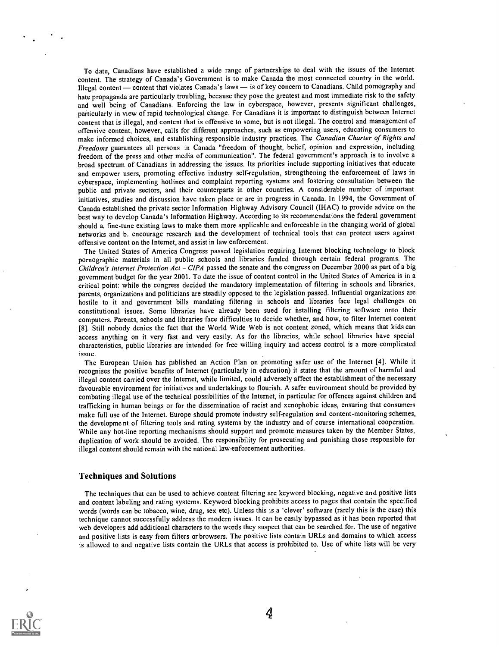To date, Canadians have established a wide range of partnerships to deal with the issues of the Internet content. The strategy of Canada's Government is to make Canada the most connected country in the world. Illegal content — content that violates Canada's laws — is of key concern to Canadians. Child pornography and hate propaganda are particularly troubling, because they pose the greatest and most immediate risk to the safety and well being of Canadians. Enforcing the law in cyberspace, however, presents significant challenges, particularly in view of rapid technological change. For Canadians it is important to distinguish between Internet content that is illegal, and content that is offensive to some, but is not illegal. The control and management of offensive content, however, calls for different approaches, such as empowering users, educating consumers to make informed choices, and establishing responsible industry practices. The Canadian Charter of Rights and Freedoms guarantees all persons in Canada "freedom of thought, belief, opinion and expression, including freedom of the press and other media of communication". The federal government's approach is to involve a broad spectrum of Canadians in addressing the issues. Its priorities include supporting initiatives that educate and empower users, promoting effective industry self-regulation, strengthening the enforcement of laws in cyberspace, implementing hotlines and complaint reporting systems and fostering consultation between the public and private sectors, and their counterparts in other countries. A considerable number of important initiatives, studies and discussion have taken place or are in progress in Canada. In 1994, the Government of Canada established the private sector Information Highway Advisory Council (IHAC) to provide advice on the best way to develop Canada's Information Highway. According to its recommendations the federal government should a. fine-tune existing laws to make them more applicable and enforceable in the changing world of global networks and b. encourage research and the development of technical tools that can protect users against offensive content on the Internet, and assist in law enforcement.

The United States of America Congress passed legislation requiring Internet blocking technology to block pornographic materials in all public schools and libraries funded through certain federal programs. The Children's Internet Protection Act - CIPA passed the senate and the congress on December 2000 as part of a big government budget for the year 2001. To date the issue of content control in the United States of America is in a critical point: while the congress decided the mandatory implementation of filtering in schools and libraries, parents, organizations and politicians are steadily opposed to the legislation passed. Influential organizations are hostile to it and government bills mandating filtering in schools and libraries face legal challenges on constitutional issues. Some libraries have already been sued for installing filtering software onto their computers. Parents, schools and libraries face difficulties to decide whether, and how, to filter Internet content [8]. Still nobody denies the fact that the World Wide Web is not content zoned, which means that kids can access anything on it very fast and very easily. As for the libraries, while school libraries have special characteristics, public libraries are intended for free willing inquiry and access control is a more complicated issue.

The European Union has published an Action Plan on promoting safer use of the Internet [4]. While it recognises the positive benefits of Internet (particularly in education) it states that the amount of harmful and illegal content carried over the Internet, while limited, could adversely affect the establishment of the necessary favourable environment for initiatives and undertakings to flourish. A safer environment should be provided by combating illegal use of the technical possibilities of the Internet, in particular for offences against children and trafficking in human beings or for the dissemination of racist and xenophobic ideas, ensuring that consumers make full use of the Internet. Europe should promote industry self-regulation and content-monitoring schemes, the development of filtering tools and rating systems by the industry and of course international cooperation. While any hot-line reporting mechanisms should support and promote measures taken by the Member States, duplication of work should be avoided. The responsibility for prosecuting and punishing those responsible for illegal content should remain with the national law-enforcement authorities.

#### Techniques and Solutions

The techniques that can be used to achieve content filtering are keyword blocking, negative and positive lists and content labeling and rating systems. Keyword blocking prohibits access to pages that contain the specified words (words can be tobacco, wine, drug, sex etc). Unless this is a 'clever' software (rarely this is the case) this technique cannot successfully address the modern issues. It can be easily bypassed as it has been reported that web developers add additional characters to the words they suspect that can be searched for. The use of negative and positive lists is easy from filters or browsers. The positive lists contain URLs and domains to which access is allowed to and negative lists contain the URLs that access is prohibited to. Use of white lists will be very



4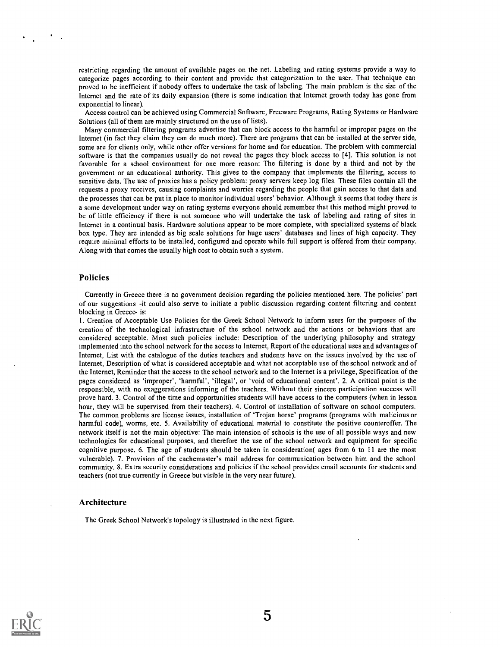restricting regarding the amount of available pages on the net. Labeling and rating systems provide a way to categorize pages according to their content and provide that categorization to the user. That technique can proved to be inefficient if nobody offers to undertake the task of labeling. The main problem is the size of the Internet and the rate of its daily expansion (there is some indication that Internet growth today has gone from exponential to linear).

Access control can be achieved using Commercial Software, Freeware Programs, Rating Systems or Hardware Solutions (all of them are mainly structured on the use of lists).

Many commercial filtering programs advertise that can block access to the harmful or improper pages on the Internet (in fact they claim they can do much more). There are programs that can be installed at the server side, some are for clients only, while other offer versions for home and for education. The problem with commercial software is that the companies usually do not reveal the pages they block access to [4]. This solution is not favorable for a school environment for one more reason: The filtering is done by a third and not by the government or an educational authority. This gives to the company that implements the filtering, access to sensitive data. The use of proxies has a policy problem: proxy servers keep log files. These files contain all the requests a proxy receives, causing complaints and worries regarding the people that gain access to that data and the processes that can be put in place to monitor individual users' behavior. Although it seems that today there is a some development under way on rating systems everyone should remember that this method might proved to be of little efficiency if there is not someone who will undertake the task of labeling and rating of sites in Internet in a continual basis. Hardware solutions appear to be more complete, with specialized systems of black box type. They are intended as big scale solutions for huge users' databases and lines of high capacity. They require minimal efforts to be installed, configured and operate while full support is offered from their company. Along with that comes the usually high cost to obtain such a system.

## Policies

Currently in Greece there is no government decision regarding the policies mentioned here. The policies' part of our suggestions -it could also serve to initiate a public discussion regarding content filtering and content blocking in Greece- is:

1. Creation of Acceptable Use Policies for the Greek School Network to inform users for the purposes of the creation of the technological infrastructure of the school network and the actions or behaviors that are considered acceptable. Most such policies include: Description of the underlying philosophy and strategy implemented into the school network for the access to Internet, Report of the educational uses and advantages of Internet, List with the catalogue of the duties teachers and students have on the issues involved by the use of Internet, Description of what is considered acceptable and what not acceptable use of the school network and of the Internet, Reminder that the access to the school network and to the Internet is a privilege, Specification of the pages considered as 'improper', 'harmful', 'illegal', or 'void of educational content'. 2. A critical point is the responsible, with no exaggerations informing of the teachers. Without their sincere participation success will prove hard. 3. Control of the time and opportunities students will have access to the computers (when in lesson hour, they will be supervised from their teachers). 4. Control of installation of software on school computers. The common problems are license issues, installation of 'Trojan horse' programs (programs with malicious or harmful code), worms, etc. 5. Availability of educational material to constitute the positive counteroffer. The network itself is not the main objective: The main intension of schools is the use of all possible ways and new technologies for educational purposes, and therefore the use of the school network and equipment for specific cognitive purpose. 6. The age of students should be taken in consideration( ages from 6 to 11 are the most vulnerable). 7. Provision of the cachemaster's mail address for communication between him and the school community. 8. Extra security considerations and policies if the school provides email accounts for students and teachers (not true currently in Greece but visible in the very near future).

#### Architecture

The Greek School Network's topology is illustrated in the next figure.

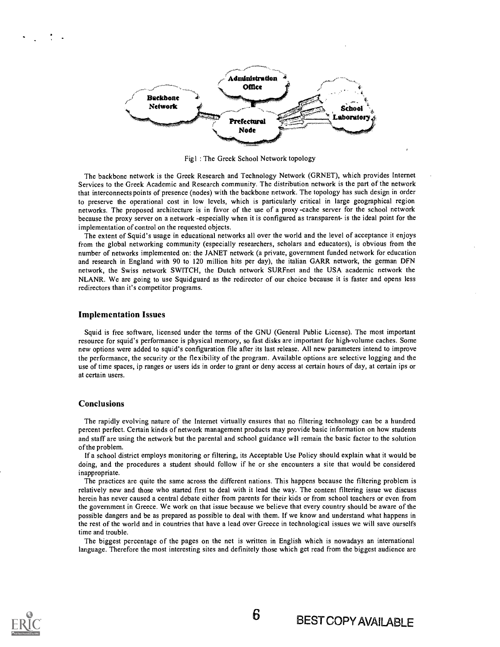

Figl : The Greek School Network topology

The backbone network is the Greek Research and Technology Network (GRNET), which provides Internet Services to the Greek Academic and Research community. The distribution network is the part of the network that interconnects points of presence (nodes) with the backbone network. The topology has such design in order to preserve the operational cost in low levels, which is particularly critical in large geographical region networks. The proposed architecture is in favor of the use of a proxy -cache server for the school network because the proxy server on a network -especially when it is configured as transparent- is the ideal point for the implementation of control on the requested objects.

The extent of Squid's usage in educational networks all over the world and the level of acceptance it enjoys from the global networking community (especially researchers, scholars and educators), is obvious from the number of networks implemented on: the JANET network (a private, government funded network for education and research in England with 90 to 120 million hits per day), the italian GARR network, the german DFN network, the Swiss network SWITCH, the Dutch network SURFnet and the USA academic network the NLANR. We are going to use Squidguard as the redirector of our choice because it is faster and opens less redirectors than it's competitor programs.

#### Implementation Issues

Squid is free software, licensed under the terms of the GNU (General Public License). The most important resource for squid's performance is physical memory, so fast disks are important for high-volume caches. Some new options were added to squid's configuration file after its last release. All new parameters intend to improve the performance, the security or the flexibility of the program. Available options are selective logging and the use of time spaces, ip ranges or users ids in order to grant or deny access at certain hours of day, at certain ips or at certain users.

### Conclusions

The rapidly evolving nature of the Internet virtually ensures that no filtering technology can be a hundred percent perfect. Certain kinds of network management products may provide basic information on how students and staff are using the network but the parental and school guidance will remain the basic factor to the solution of the problem.

If a school district employs monitoring or filtering, its Acceptable Use Policy should explain what it would be doing, and the procedures a student should follow if he or she encounters a site that would be considered inappropriate.

The practices are quite the same across the different nations. This happens because the filtering problem is relatively new and those who started first to deal with it lead the way. The content filtering issue we discuss herein has never caused a central debate either from parents for their kids or from school teachers or even from the government in Greece. We work on that issue because we believe that every country should be aware of the possible dangers and be as prepared as possible to deal with them. If we know and understand what happens in the rest of the world and in countries that have a lead over Greece in technological issues we will save ourselfs time and trouble.

The biggest percentage of the pages on the net is written in English which is nowadays an international language. Therefore the most interesting sites and definitely those which get read from the biggest audience are

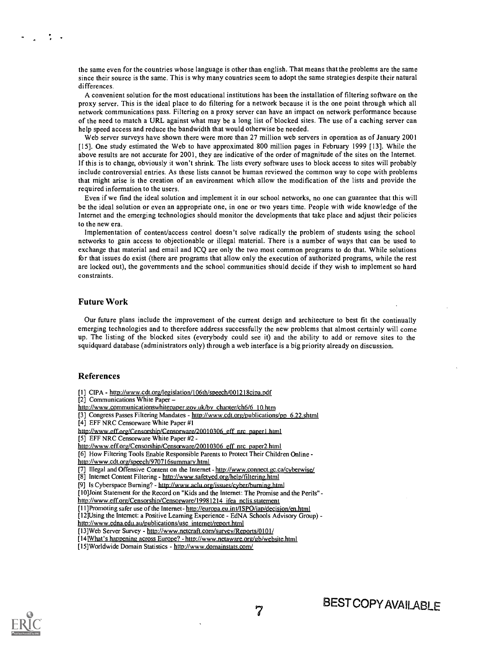the same even for the countries whose language is other than english. That means that the problems are the same since their source is the same. This is why many countries seem to adopt the same strategies despite their natural differences.

A convenient solution for the most educational institutions has been the installation of filtering software on the proxy server. This is the ideal place to do filtering for a network because it is the one point through which all network communications pass. Filtering on a proxy server can have an impact on network performance because of the need to match a URL against what may be a long list of blocked sites. The use of a caching server can help speed access and reduce the bandwidth that would otherwise be needed.

Web server surveys have shown there were more than 27 million web servers in operation as of January 2001 [15]. One study estimated the Web to have approximated 800 million pages in February 1999 [13]. While the above results are not accurate for 2001, they are indicative of the order of magnitude of the sites on the Internet. If this is to change, obviously it won't shrink. The lists every software uses to block access to sites will probably include controversial entries. As these lists cannot be human reviewed the common way to cope with problems that might arise is the creation of an environment which allow the modification of the lists and provide the required information to the users.

Even if we find the ideal solution and implement it in our school networks, no one can guarantee that this will be the ideal solution or even an appropriate one, in one or two years time. People with wide knowledge of the Internet and the emerging technologies should monitor the developments that take place and adjust their policies to the new era.

Implementation of content/access control doesn't solve radically the problem of students using the school networks to gain access to objectionable or illegal material. There is a number of ways that can be used to exchange that material and email and ICQ are only the two most common programs to do that. While solutions for that issues do exist (there are programs that allow only the execution of authorized programs, while the rest are locked out), the governments and the school communities should decide if they wish to implement so hard constraints.

#### Future Work

Our future plans include the improvement of the current design and architecture to best fit the continually emerging technologies and to therefore address successfully the new problems that almost certainly will come up. The listing of the blocked sites (everybody could see it) and the ability to add or remove sites to the squidquard database (administrators only) through a web interface is a big priority already on discussion.

#### References

- [1] CIPA http://www.cdt.org/legislation/106th/speech/001218cipa.pdf
- [2] Communications White Paper -
- http://www.communicationswhitepaper.gov.uk/by chapter/ch6/6 10.htm
- [3] Congress Passes Filtering Mandates http://www.cdt.org/publications/pp 6.22.shtml
- [4] EFF NRC Censorware White Paper #1
- http://www.eff.org/Censorship/Censorware/20010306 eff nrc paperl.html
- [5] EFF NRC Censorware White Paper #2 -
- http://www.eff.org/Censorship/Censorware/20010306 eff nrc paper2.html
- [6] How Filtering Tools Enable Responsible Parents to Protect Their Children Online http://www.cdt.orz/speech/970716summarv.html
- 
- [7] Illegal and Offensive Content on the Internet http://www.connect.gc.ca/cyberwise/ [8] Internet Content Filtering - http://www.safetved.org/help/filtering.html
- 
- [9] Is Cyberspace Burning? http://www.aclu.org/issues/cyber/burning.html
- [10]Joint Statement for the Record on "Kids and the Internet: The Promise and the Perils" -
- http://www.eff.org/Censorship/Censorware/19981214 ifea nclis.statement
- [1 l]Promoting safer use of the Internet- http://europa.eu.int/ISPO/iap/decision/en.html
- [12]Using the Internet: a Positive Learning Experience EdNA Schools Advisory Group) http://www.edna.edu.au/publications/use internet/report.html
- [13]Web Server Survey http://www.netcraft.com/survev/Revorts/0101/
- [14] What's happening across Europe? http://www.netaware.org/gb/website.html
- [15]Worldwide Domain Statistics http://www.domainstats.com/